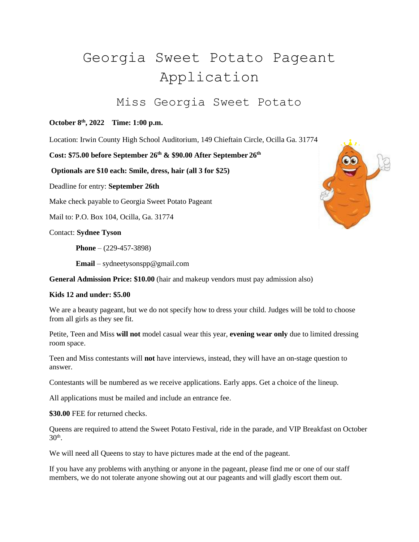## Georgia Sweet Potato Pageant Application

## Miss Georgia Sweet Potato

## **October 8 th, 2022 Time: 1:00 p.m.**

Location: Irwin County High School Auditorium, 149 Chieftain Circle, Ocilla Ga. 31774

**Cost: \$75.00 before September 26th & \$90.00 After September 26th**

**Optionals are \$10 each: Smile, dress, hair (all 3 for \$25)**

Deadline for entry: **September 26th**

Make check payable to Georgia Sweet Potato Pageant

Mail to: P.O. Box 104, Ocilla, Ga. 31774

Contact: **Sydnee Tyson**

**Phone** – (229-457-3898)

**Email** – sydneetysonspp@gmail.com

**General Admission Price: \$10.00** (hair and makeup vendors must pay admission also)

## **Kids 12 and under: \$5.00**

We are a beauty pageant, but we do not specify how to dress your child. Judges will be told to choose from all girls as they see fit.

Petite, Teen and Miss **will not** model casual wear this year, **evening wear only** due to limited dressing room space.

Teen and Miss contestants will **not** have interviews, instead, they will have an on-stage question to answer.

Contestants will be numbered as we receive applications. Early apps. Get a choice of the lineup.

All applications must be mailed and include an entrance fee.

**\$30.00** FEE for returned checks.

Queens are required to attend the Sweet Potato Festival, ride in the parade, and VIP Breakfast on October  $30<sup>th</sup>$ .

We will need all Queens to stay to have pictures made at the end of the pageant.

If you have any problems with anything or anyone in the pageant, please find me or one of our staff members, we do not tolerate anyone showing out at our pageants and will gladly escort them out.